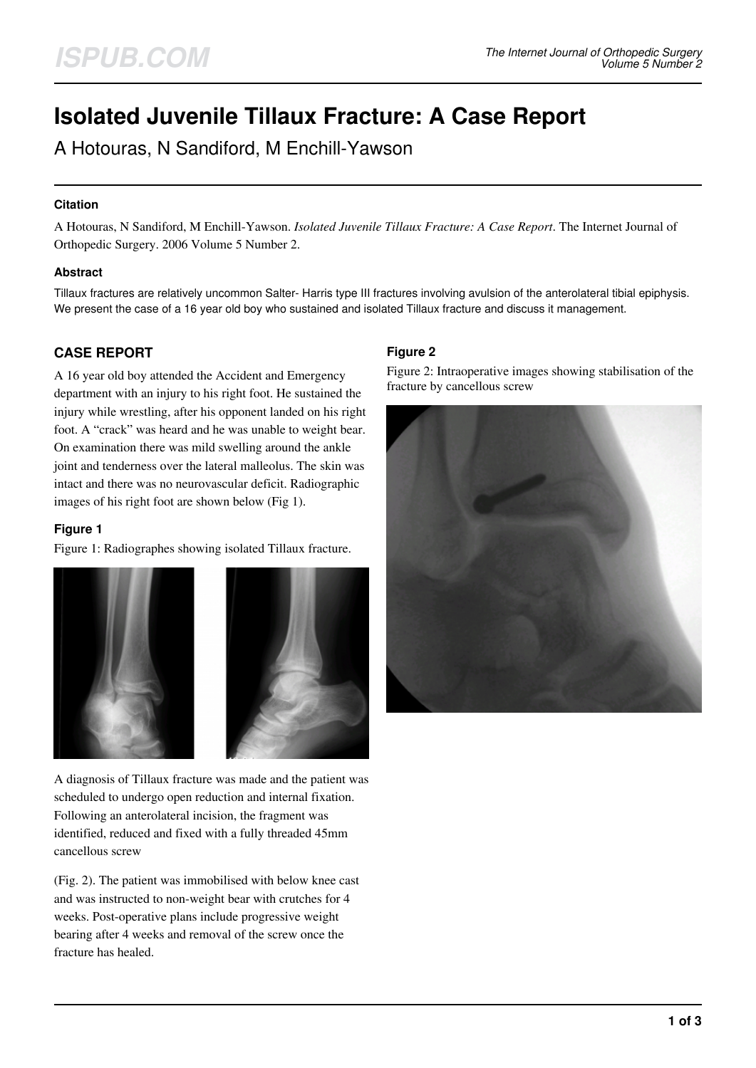# **Isolated Juvenile Tillaux Fracture: A Case Report**

A Hotouras, N Sandiford, M Enchill-Yawson

### **Citation**

A Hotouras, N Sandiford, M Enchill-Yawson. *Isolated Juvenile Tillaux Fracture: A Case Report*. The Internet Journal of Orthopedic Surgery. 2006 Volume 5 Number 2.

### **Abstract**

Tillaux fractures are relatively uncommon Salter- Harris type III fractures involving avulsion of the anterolateral tibial epiphysis. We present the case of a 16 year old boy who sustained and isolated Tillaux fracture and discuss it management.

## **CASE REPORT**

A 16 year old boy attended the Accident and Emergency department with an injury to his right foot. He sustained the injury while wrestling, after his opponent landed on his right foot. A "crack" was heard and he was unable to weight bear. On examination there was mild swelling around the ankle joint and tenderness over the lateral malleolus. The skin was intact and there was no neurovascular deficit. Radiographic images of his right foot are shown below (Fig 1).

### **Figure 1**

Figure 1: Radiographes showing isolated Tillaux fracture.



A diagnosis of Tillaux fracture was made and the patient was scheduled to undergo open reduction and internal fixation. Following an anterolateral incision, the fragment was identified, reduced and fixed with a fully threaded 45mm cancellous screw

(Fig. 2). The patient was immobilised with below knee cast and was instructed to non-weight bear with crutches for 4 weeks. Post-operative plans include progressive weight bearing after 4 weeks and removal of the screw once the fracture has healed.

### **Figure 2**

Figure 2: Intraoperative images showing stabilisation of the fracture by cancellous screw

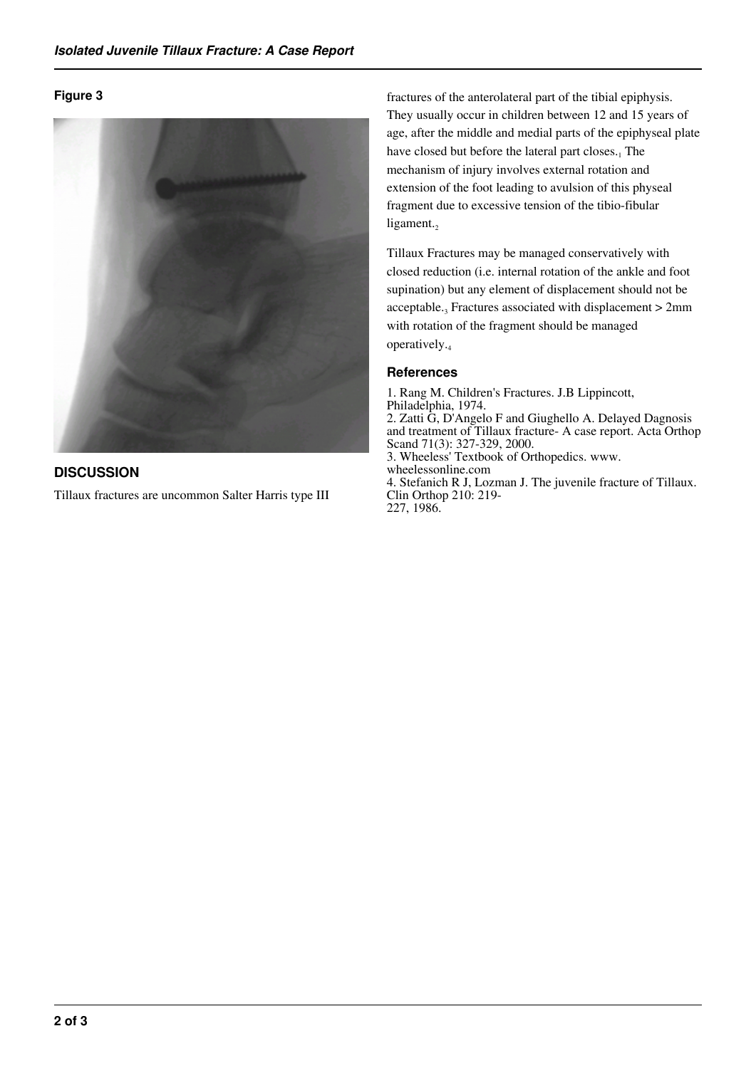### **Figure 3**



## **DISCUSSION**

Tillaux fractures are uncommon Salter Harris type III

fractures of the anterolateral part of the tibial epiphysis. They usually occur in children between 12 and 15 years of age, after the middle and medial parts of the epiphyseal plate have closed but before the lateral part closes.<sub>1</sub> The mechanism of injury involves external rotation and extension of the foot leading to avulsion of this physeal fragment due to excessive tension of the tibio-fibular ligament. $<sub>2</sub>$ </sub>

Tillaux Fractures may be managed conservatively with closed reduction (i.e. internal rotation of the ankle and foot supination) but any element of displacement should not be acceptable.<sub>3</sub> Fractures associated with displacement  $> 2$ mm with rotation of the fragment should be managed operatively.<sup>4</sup>

### **References**

1. Rang M. Children's Fractures. J.B Lippincott, Philadelphia, 1974. 2. Zatti G, D'Angelo F and Giughello A. Delayed Dagnosis and treatment of Tillaux fracture- A case report. Acta Orthop Scand 71(3): 327-329, 2000. 3. Wheeless' Textbook of Orthopedics. www. wheelessonline.com 4. Stefanich R J, Lozman J. The juvenile fracture of Tillaux. Clin Orthop 210: 219- 227, 1986.